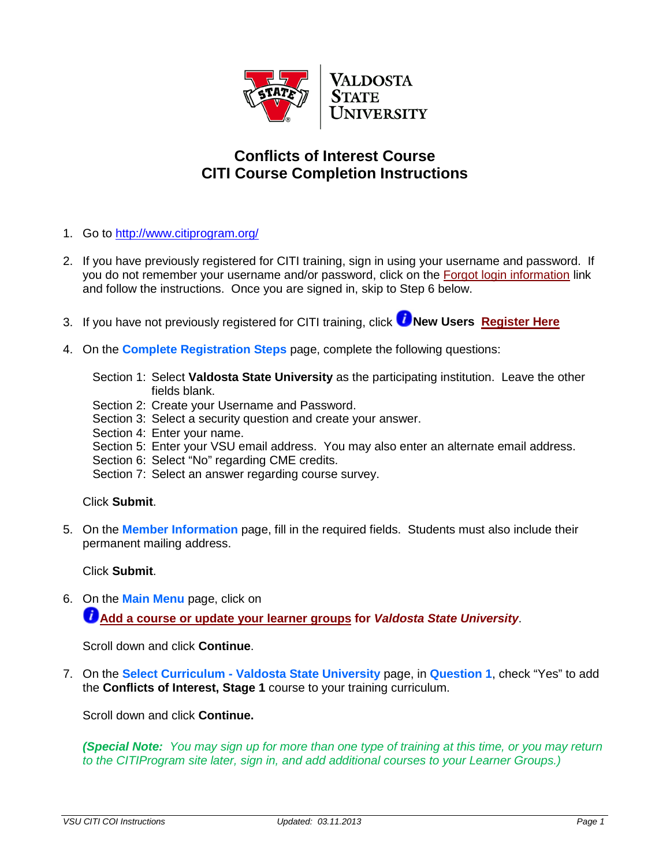

## **Conflicts of Interest Course CITI Course Completion Instructions**

- 1. Go to<http://www.citiprogram.org/>
- 2. If you have previously registered for CITI training, sign in using your username and password. If you do not remember your username and/or password, click on the [Forgot login information](https://www.citiprogram.org/forgotlogin.asp?language=english) link and follow the instructions. Once you are signed in, skip to Step 6 below.
- 3.If you have not previously registered for CITI training, click *D* **New Users [Register Here](https://www.citiprogram.org/dev/enroll/courseregistration1.asp?language=english)**
- 4. On the **Complete Registration Steps** page, complete the following questions:
	- Section 1: Select **Valdosta State University** as the participating institution. Leave the other fields blank.
	- Section 2: Create your Username and Password.
	- Section 3: Select a security question and create your answer.
	- Section 4: Enter your name.
	- Section 5: Enter your VSU email address. You may also enter an alternate email address.
	- Section 6: Select "No" regarding CME credits.
	- Section 7: Select an answer regarding course survey.

## Click **Submit**.

5. On the **Member Information** page, fill in the required fields. Students must also include their permanent mailing address.

Click **Submit**.

6. On the **Main Menu** page, click on **[Add a course or update your learner groups](https://www.citiprogram.org/citidocuments/citiinfo/learner_menu_info_english.htm#3) for** *Valdosta State University*.

Scroll down and click **Continue**.

7. On the **Select Curriculum - Valdosta State University** page, in **Question 1**, check "Yes" to add the **Conflicts of Interest, Stage 1** course to your training curriculum.

Scroll down and click **Continue.** 

*(Special Note: You may sign up for more than one type of training at this time, or you may return to the CITIProgram site later, sign in, and add additional courses to your Learner Groups.)*